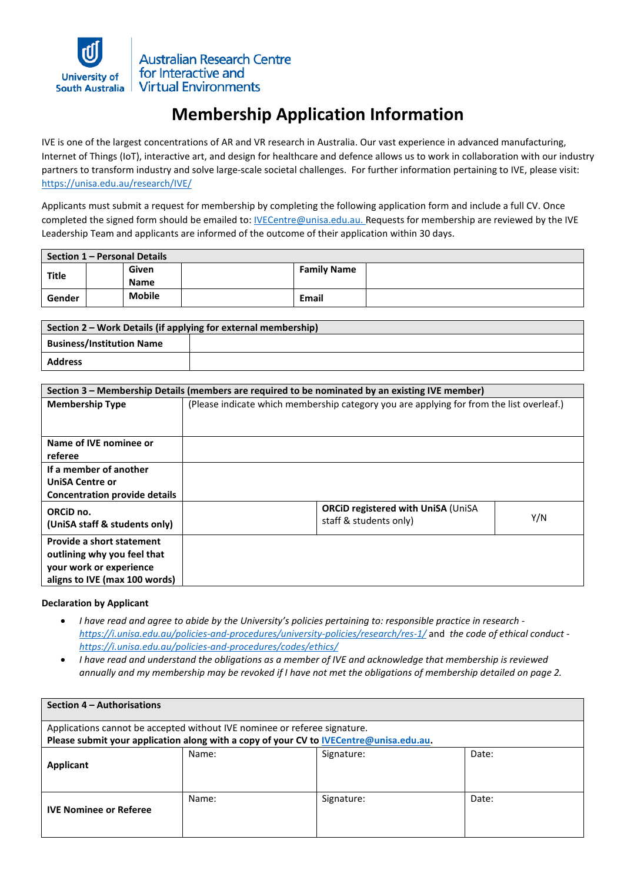

**Australian Research Centre** for Interactive and **Virtual Environments** 

## **Membership Application Information**

IVE is one of the largest concentrations of AR and VR research in Australia. Our vast experience in advanced manufacturing, Internet of Things (IoT), interactive art, and design for healthcare and defence allows us to work in collaboration with our industry partners to transform industry and solve large-scale societal challenges. For further information pertaining to IVE, please visit: <https://unisa.edu.au/research/IVE/>

Applicants must submit a request for membership by completing the following application form and include a full CV. Once completed the signed form should be emailed to: *IVECentre@unisa.edu.au.* Requests for membership are reviewed by the IVE Leadership Team and applicants are informed of the outcome of their application within 30 days.

| Section 1 – Personal Details |  |                      |  |                    |  |  |
|------------------------------|--|----------------------|--|--------------------|--|--|
| <b>Title</b>                 |  | Given<br><b>Name</b> |  | <b>Family Name</b> |  |  |
| Gender                       |  | <b>Mobile</b>        |  | <b>Email</b>       |  |  |

| Section 2 – Work Details (if applying for external membership) |  |  |  |  |
|----------------------------------------------------------------|--|--|--|--|
| <b>Business/Institution Name</b>                               |  |  |  |  |
| <b>Address</b>                                                 |  |  |  |  |

| Section 3 – Membership Details (members are required to be nominated by an existing IVE member)                      |                                                                                          |     |  |  |  |
|----------------------------------------------------------------------------------------------------------------------|------------------------------------------------------------------------------------------|-----|--|--|--|
| <b>Membership Type</b>                                                                                               | (Please indicate which membership category you are applying for from the list overleaf.) |     |  |  |  |
| Name of IVE nominee or<br>referee                                                                                    |                                                                                          |     |  |  |  |
| If a member of another<br><b>UniSA Centre or</b><br><b>Concentration provide details</b>                             |                                                                                          |     |  |  |  |
| ORCID no.<br>(UniSA staff & students only)                                                                           | <b>ORCiD registered with UniSA (UniSA</b><br>staff & students only)                      | Y/N |  |  |  |
| Provide a short statement<br>outlining why you feel that<br>your work or experience<br>aligns to IVE (max 100 words) |                                                                                          |     |  |  |  |

## **Declaration by Applicant**

- *I have read and agree to abide by the University's policies pertaining to: responsible practice in research <https://i.unisa.edu.au/policies-and-procedures/university-policies/research/res-1/>* and *the code of ethical conduct <https://i.unisa.edu.au/policies-and-procedures/codes/ethics/>*
- *I have read and understand the obligations as a member of IVE and acknowledge that membership is reviewed annually and my membership may be revoked if I have not met the obligations of membership detailed on page 2.*

| Section 4 – Authorisations                                                                                                                                          |       |            |       |  |  |
|---------------------------------------------------------------------------------------------------------------------------------------------------------------------|-------|------------|-------|--|--|
| Applications cannot be accepted without IVE nominee or referee signature.<br>Please submit your application along with a copy of your CV to IVECentre@unisa.edu.au. |       |            |       |  |  |
| <b>Applicant</b>                                                                                                                                                    | Name: | Signature: | Date: |  |  |
| <b>IVE Nominee or Referee</b>                                                                                                                                       | Name: | Signature: | Date: |  |  |